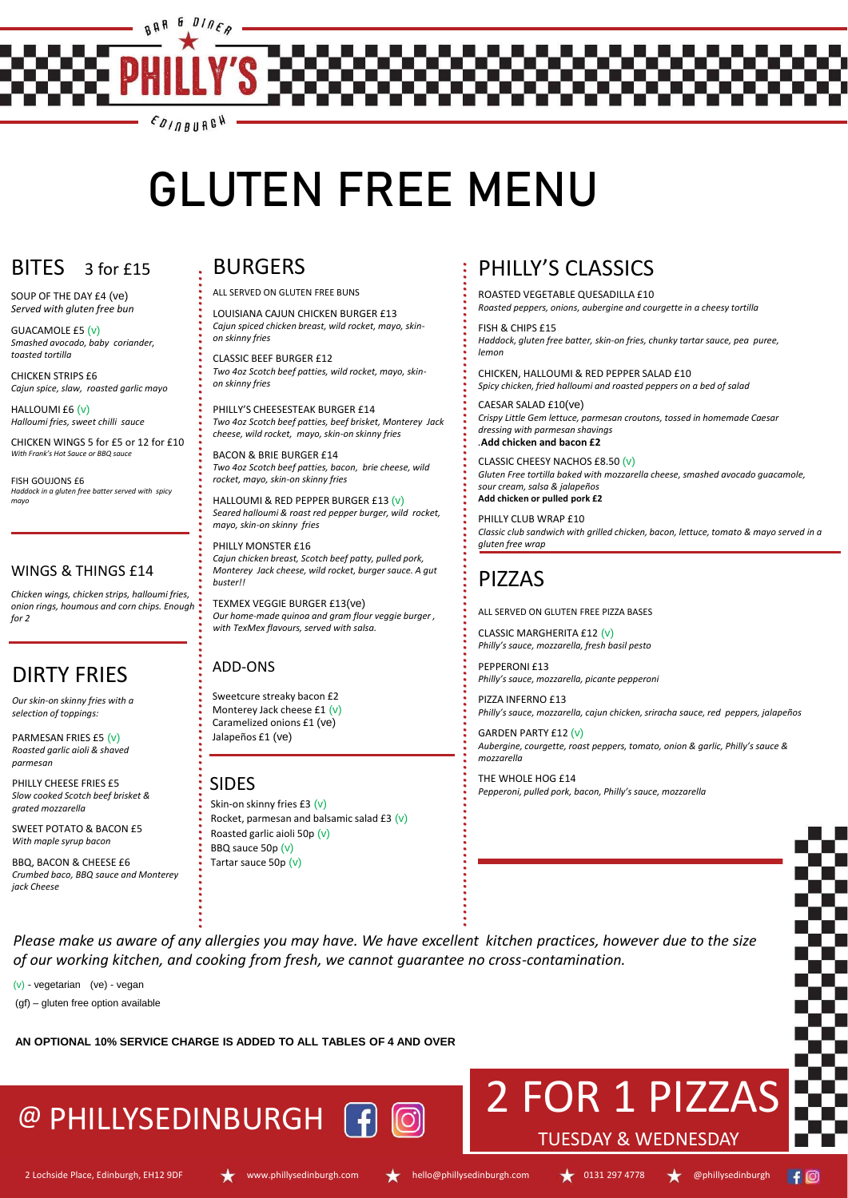SOUP OF THE DAY £4 (ve) *Served with gluten free bun*

GUACAMOLE £5 (v) *Smashed avocado, baby coriander, toasted tortilla*

CHICKEN STRIPS £6 *Cajun spice, slaw, roasted garlic mayo*

HALLOUMI £6 (v) *Halloumi fries, sweet chilli sauce*

CHICKEN WINGS 5 for £5 or 12 for £10 *With Frank's Hot Sauce or BBQ sauce*

FISH GOUJONS £6 *Haddock in a gluten free batter served with spicy mayo*

#### WINGS & THINGS £14

*Chicken wings, chicken strips, halloumi fries, onion rings, houmous and corn chips. Enough for 2*

#### ADD-ONS

Sweetcure streaky bacon £2 Monterey Jack cheese £1 (v) Caramelized onions £1 (ve) Jalapeños £1 (ve)

*..........................................................................................................*

## DIRTY FRIES

*.........................................................................................................* ALL SERVED ON GLUTEN FREE BUNS

*Our skin-on skinny fries with a selection of toppings:*

PARMESAN FRIES £5 (v) *Roasted garlic aioli & shaved parmesan*

PHILLY CHEESE FRIES £5 *Slow cooked Scotch beef brisket & grated mozzarella*

SWEET POTATO & BACON £5 *With maple syrup bacon* 

BBQ, BACON & CHEESE £6 *Crumbed baco, BBQ sauce and Monterey jack Cheese*

# BURGERS

LOUISIANA CAJUN CHICKEN BURGER £13 *Cajun spiced chicken breast, wild rocket, mayo, skinon skinny fries*

CLASSIC BEEF BURGER £12 *Two 4oz Scotch beef patties, wild rocket, mayo, skinon skinny fries*

PHILLY'S CHEESESTEAK BURGER £14 *Two 4oz Scotch beef patties, beef brisket, Monterey Jack cheese, wild rocket, mayo, skin-on skinny fries*

BACON & BRIE BURGER £14 *Two 4oz Scotch beef patties, bacon, brie cheese, wild rocket, mayo, skin-on skinny fries*

HALLOUMI & RED PEPPER BURGER £13 (v) *Seared halloumi & roast red pepper burger, wild rocket, mayo, skin-on skinny fries*

PHILLY MONSTER £16 *Cajun chicken breast, Scotch beef patty, pulled pork, Monterey Jack cheese, wild rocket, burger sauce. A gut buster!!*

Skin-on skinny fries £3  $(v)$ Rocket, parmesan and balsamic salad £3  $(v)$ Roasted garlic aioli 50p (v) BBQ sauce 50p (v) Tartar sauce 50p (v)

TEXMEX VEGGIE BURGER £13(ve) *Our home-made quinoa and gram flour veggie burger , with TexMex flavours, served with salsa.*

# PIZZAS

ALL SERVED ON GLUTEN FREE PIZZA BASES

CLASSIC MARGHERITA £12 (v) *Philly's sauce, mozzarella, fresh basil pesto*

PEPPERONI £13 *Philly's sauce, mozzarella, picante pepperoni*

PIZZA INFERNO £13 *Philly's sauce, mozzarella, cajun chicken, sriracha sauce, red peppers, jalapeños*

GARDEN PARTY £12 (v) *Aubergine, courgette, roast peppers, tomato, onion & garlic, Philly's sauce & mozzarella*

THE WHOLE HOG £14 *Pepperoni, pulled pork, bacon, Philly's sauce, mozzarella*

*Please make us aware of any allergies you may have. We have excellent kitchen practices, however due to the size of our working kitchen, and cooking from fresh, we cannot guarantee no cross-contamination.*

(v) - vegetarian (ve) - vegan

(gf) – gluten free option available

#### **AN OPTIONAL 10% SERVICE CHARGE IS ADDED TO ALL TABLES OF 4 AND OVER**

# PHILLY'S CLASSICS

ROASTED VEGETABLE QUESADILLA £10 *Roasted peppers, onions, aubergine and courgette in a cheesy tortilla*

FISH & CHIPS £15 *Haddock, gluten free batter, skin-on fries, chunky tartar sauce, pea puree, lemon*

CHICKEN, HALLOUMI & RED PEPPER SALAD £10 *Spicy chicken, fried halloumi and roasted peppers on a bed of salad*

CAESAR SALAD £10(ve) *Crispy Little Gem lettuce, parmesan croutons, tossed in homemade Caesar dressing with parmesan shavings .***Add chicken and bacon £2**

CLASSIC CHEESY NACHOS £8.50 (v) *Gluten Free tortilla baked with mozzarella cheese, smashed avocado guacamole, sour cream, salsa & jalapeños* **Add chicken or pulled pork £2**

PHILLY CLUB WRAP £10 *Classic club sandwich with grilled chicken, bacon, lettuce, tomato & mayo served in a gluten free wrap*

# 2 FOR 1 PIZZAS

#### TUESDAY & WEDNESDAY

2 Lochside Place, Edinburgh, EH12 9DF www.phillysedinburgh.com hello@phillysedinburgh.com **1989** 0131 297 4778 @phillysedinburgh









#### SIDES

# @ PHILLYSEDINBURGH





# **GLUTEN FREE MENU**

# $BITES<sub>3</sub>$  for £15